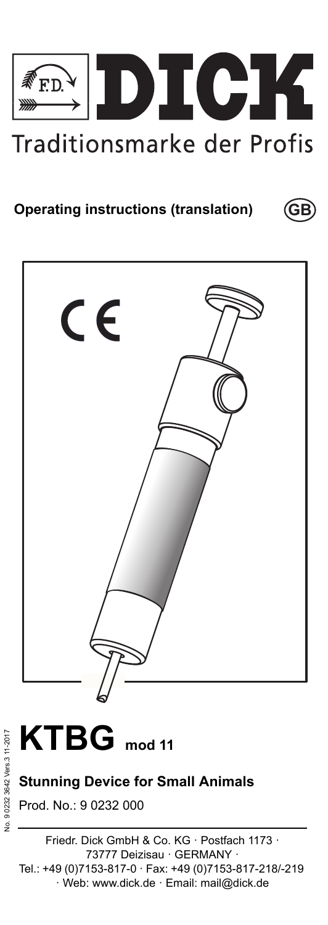

**GB**

# **Operating instructions (translation)**





## **Stunning Device for Small Animals**

Prod. No.: 9 0232 000

Friedr. Dick GmbH & Co. KG · Postfach 1173 · 73777 Deizisau · GERMANY · Tel.: +49 (0)7153-817-0 · Fax: +49 (0)7153-817-218/-219 · Web: www.dick.de · Email: mail@dick.de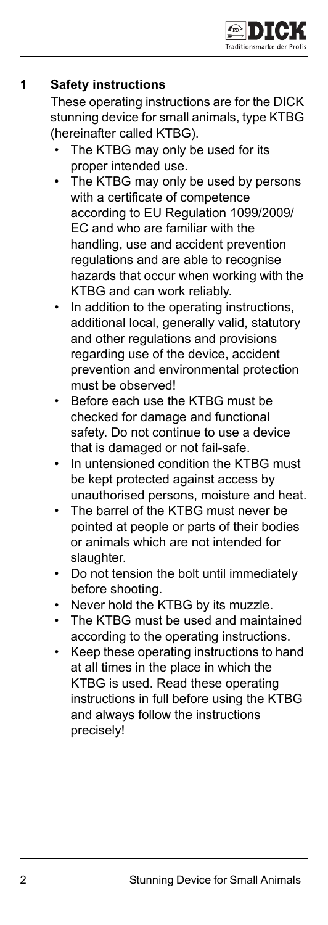## **1 Safety instructions**

These operating instructions are for the DICK stunning device for small animals, type KTBG (hereinafter called KTBG).

- The KTBG may only be used for its proper intended use.
- The KTBG may only be used by persons with a certificate of competence according to EU Regulation 1099/2009/ EC and who are familiar with the handling, use and accident prevention regulations and are able to recognise hazards that occur when working with the KTBG and can work reliably.
- In addition to the operating instructions. additional local, generally valid, statutory and other regulations and provisions regarding use of the device, accident prevention and environmental protection must be observed!
- Before each use the KTBG must be checked for damage and functional safety. Do not continue to use a device that is damaged or not fail-safe.
- In untensioned condition the KTBG must be kept protected against access by unauthorised persons, moisture and heat.
- The barrel of the KTBG must never be pointed at people or parts of their bodies or animals which are not intended for slaughter.
- Do not tension the bolt until immediately before shooting.
- Never hold the KTBG by its muzzle.
- The KTBG must be used and maintained according to the operating instructions.
- Keep these operating instructions to hand at all times in the place in which the KTBG is used. Read these operating instructions in full before using the KTBG and always follow the instructions precisely!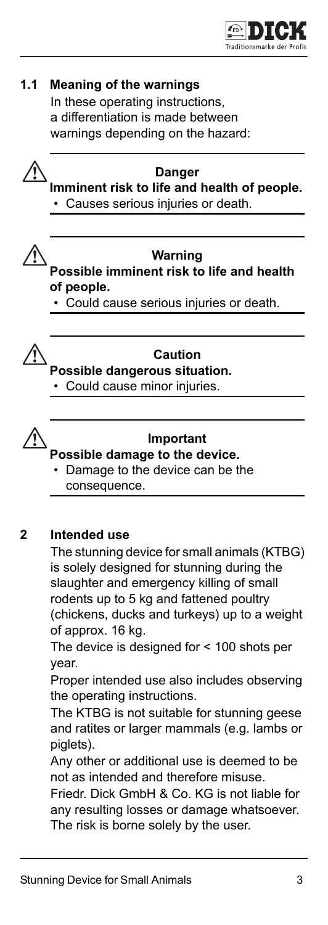



#### **Important**

- **Possible damage to the device.**
	- Damage to the device can be the consequence.

## **2 Intended use**

The stunning device for small animals (KTBG) is solely designed for stunning during the slaughter and emergency killing of small rodents up to 5 kg and fattened poultry (chickens, ducks and turkeys) up to a weight of approx. 16 kg.

The device is designed for < 100 shots per year.

Proper intended use also includes observing the operating instructions.

The KTBG is not suitable for stunning geese and ratites or larger mammals (e.g. lambs or piglets).

Any other or additional use is deemed to be not as intended and therefore misuse.

Friedr. Dick GmbH & Co. KG is not liable for any resulting losses or damage whatsoever. The risk is borne solely by the user.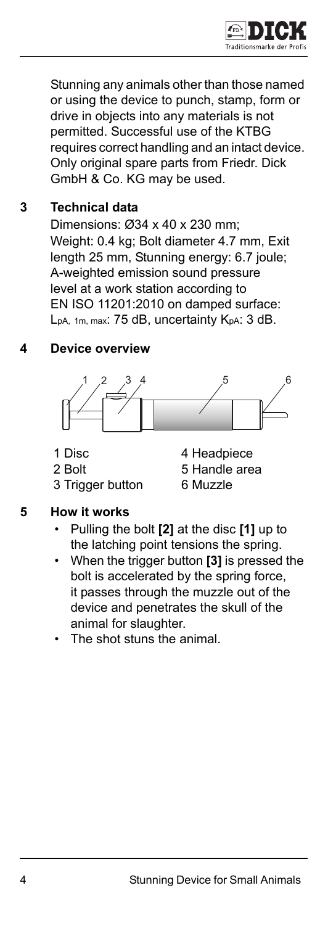

Stunning any animals other than those named or using the device to punch, stamp, form or drive in objects into any materials is not permitted. Successful use of the KTBG requires correct handling and an intact device. Only original spare parts from Friedr. Dick GmbH & Co. KG may be used.

## **3 Technical data**

Dimensions: Ø34 x 40 x 230 mm; Weight: 0.4 kg; Bolt diameter 4.7 mm, Exit length 25 mm, Stunning energy: 6.7 joule; A-weighted emission sound pressure level at a work station according to EN ISO 11201:2010 on damped surface: LpA, 1m, max: 75 dB, uncertainty KpA: 3 dB.

## **4 Device overview**



- 
- 
- 3 Trigger button 6 Muzzle
- 1 Disc 4 Headpiece 2 Bolt 5 Handle area

#### **5 How it works**

- Pulling the bolt **[2]** at the disc **[1]** up to the latching point tensions the spring.
- When the trigger button **[3]** is pressed the bolt is accelerated by the spring force, it passes through the muzzle out of the device and penetrates the skull of the animal for slaughter.
- The shot stuns the animal.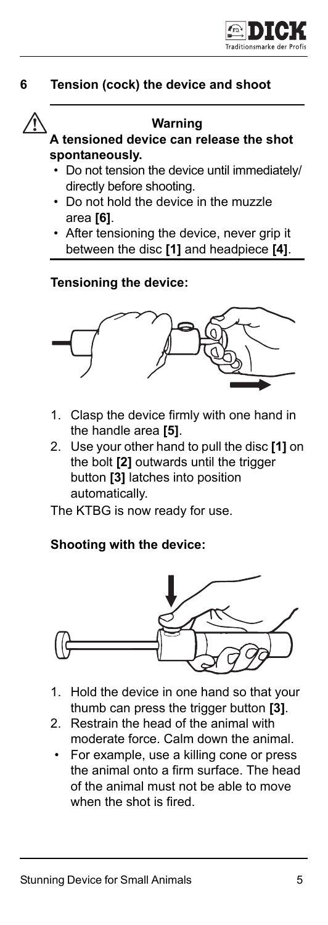

### **6 Tension (cock) the device and shoot**



#### **Warning**

#### **A tensioned device can release the shot spontaneously.**

- Do not tension the device until immediately/ directly before shooting.
- Do not hold the device in the muzzle area **[6]**.
- After tensioning the device, never grip it between the disc **[1]** and headpiece **[4]**.

#### **Tensioning the device:**



- 1. Clasp the device firmly with one hand in the handle area **[5]**.
- 2. Use your other hand to pull the disc **[1]** on the bolt **[2]** outwards until the trigger button **[3]** latches into position automatically.

The KTBG is now ready for use.

### **Shooting with the device:**



- 1. Hold the device in one hand so that your thumb can press the trigger button **[3]**.
- 2. Restrain the head of the animal with moderate force. Calm down the animal.
	- For example, use a killing cone or press the animal onto a firm surface. The head of the animal must not be able to move when the shot is fired.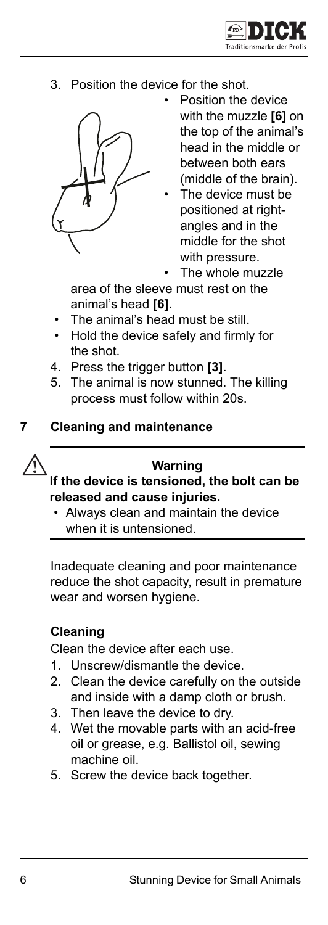

3. Position the device for the shot.



- Position the device with the muzzle **[6]** on the top of the animal's head in the middle or between both ears (middle of the brain).
- The device must be positioned at rightangles and in the middle for the shot with pressure.

The whole muzzle

area of the sleeve must rest on the animal's head **[6]**.

- The animal's head must be still.
- Hold the device safely and firmly for the shot.
- 4. Press the trigger button **[3]**.
- 5. The animal is now stunned. The killing process must follow within 20s.

#### **7 Cleaning and maintenance**



#### **Warning**

**If the device is tensioned, the bolt can be released and cause injuries.** 

• Always clean and maintain the device when it is untensioned.

Inadequate cleaning and poor maintenance reduce the shot capacity, result in premature wear and worsen hygiene.

### **Cleaning**

Clean the device after each use.

- 1. Unscrew/dismantle the device.
- 2. Clean the device carefully on the outside and inside with a damp cloth or brush.
- 3. Then leave the device to dry.
- 4. Wet the movable parts with an acid-free oil or grease, e.g. Ballistol oil, sewing machine oil.
- 5. Screw the device back together.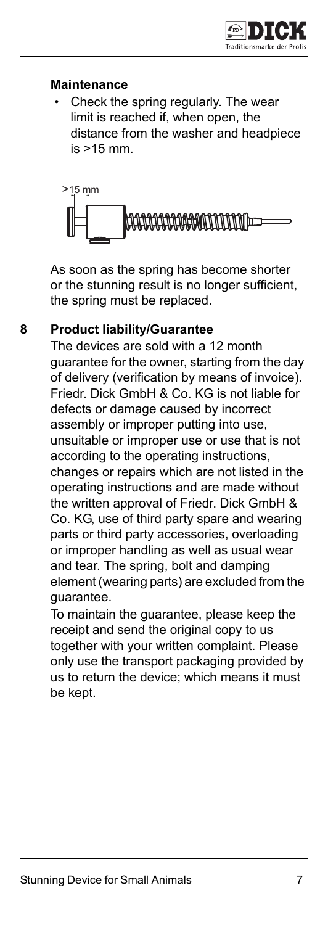## **Maintenance**

• Check the spring regularly. The wear limit is reached if, when open, the distance from the washer and headpiece is >15 mm.



As soon as the spring has become shorter or the stunning result is no longer sufficient, the spring must be replaced.

## **8 Product liability/Guarantee**

The devices are sold with a 12 month guarantee for the owner, starting from the day of delivery (verification by means of invoice). Friedr. Dick GmbH & Co. KG is not liable for defects or damage caused by incorrect assembly or improper putting into use, unsuitable or improper use or use that is not according to the operating instructions, changes or repairs which are not listed in the operating instructions and are made without the written approval of Friedr. Dick GmbH & Co. KG, use of third party spare and wearing parts or third party accessories, overloading or improper handling as well as usual wear and tear. The spring, bolt and damping element (wearing parts) are excluded from the guarantee.

To maintain the guarantee, please keep the receipt and send the original copy to us together with your written complaint. Please only use the transport packaging provided by us to return the device; which means it must be kept.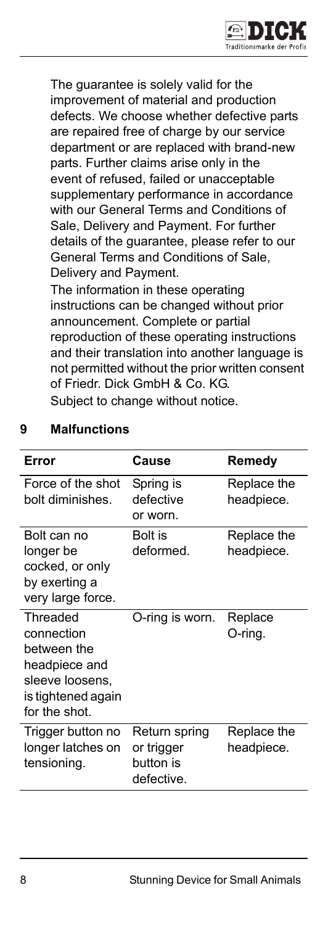

The guarantee is solely valid for the improvement of material and production defects. We choose whether defective parts are repaired free of charge by our service department or are replaced with brand-new parts. Further claims arise only in the event of refused, failed or unacceptable supplementary performance in accordance with our General Terms and Conditions of Sale, Delivery and Payment. For further details of the guarantee, please refer to our General Terms and Conditions of Sale, Delivery and Payment.

The information in these operating instructions can be changed without prior announcement. Complete or partial reproduction of these operating instructions and their translation into another language is not permitted without the prior written consent of Friedr. Dick GmbH & Co. KG. Subject to change without notice.

| Error                                                                                                            | Cause                                                  | Remedy                    |
|------------------------------------------------------------------------------------------------------------------|--------------------------------------------------------|---------------------------|
| Force of the shot<br>bolt diminishes.                                                                            | Spring is<br>defective<br>or worn.                     | Replace the<br>headpiece. |
| Bolt can no<br>longer be<br>cocked, or only<br>by exerting a<br>very large force.                                | Bolt is<br>deformed.                                   | Replace the<br>headpiece. |
| Threaded<br>connection<br>between the<br>headpiece and<br>sleeve loosens,<br>is tightened again<br>for the shot. | O-ring is worn.                                        | Replace<br>O-ring.        |
| Trigger button no<br>longer latches on<br>tensioning.                                                            | Return spring<br>or trigger<br>button is<br>defective. | Replace the<br>headpiece. |

## **9 Malfunctions**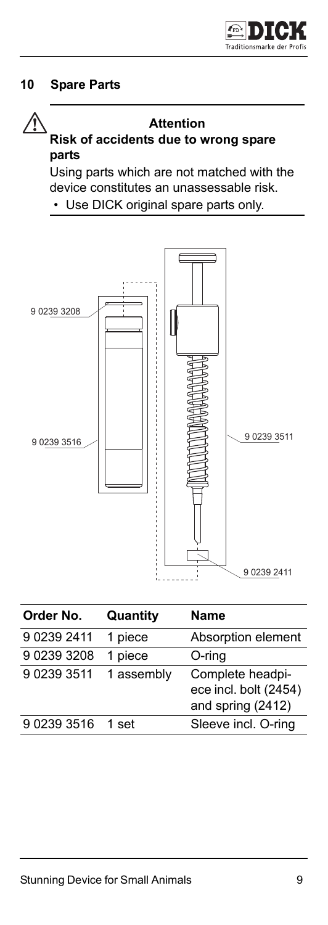## **10 Spare Parts**

#### **Attention**

## **Risk of accidents due to wrong spare parts**

Using parts which are not matched with the device constitutes an unassessable risk.

• Use DICK original spare parts only.



| Order No.   | Quantity   | Name                                                           |
|-------------|------------|----------------------------------------------------------------|
| 9 0239 2411 | 1 piece    | Absorption element                                             |
| 9 0239 3208 | 1 piece    | O-ring                                                         |
| 9 0239 3511 | 1 assembly | Complete headpi-<br>ece incl. bolt (2454)<br>and spring (2412) |
| 9 0239 3516 | 1 set      | Sleeve incl. O-ring                                            |